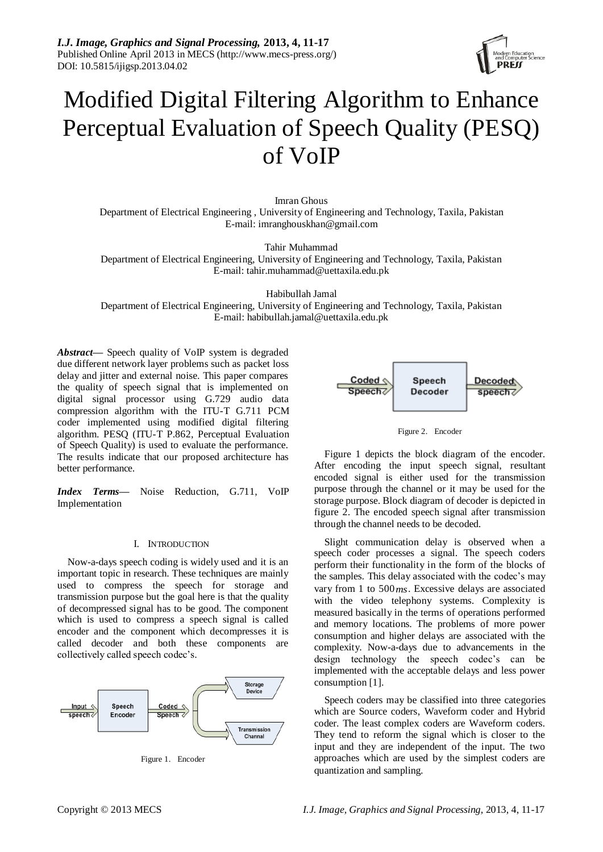*I.J. Image, Graphics and Signal Processing,* **2013, 4, 11-17** Published Online April 2013 in MECS (http://www.mecs-press.org/) DOI: 10.5815/ijigsp.2013.04.02



# Modified Digital Filtering Algorithm to Enhance Perceptual Evaluation of Speech Quality (PESQ) of VoIP

Imran Ghous Department of Electrical Engineering , University of Engineering and Technology, Taxila, Pakistan E-mail: imranghouskhan@gmail.com

Tahir Muhammad Department of Electrical Engineering, University of Engineering and Technology, Taxila, Pakistan E-mail[: tahir.muhammad@uettaxila.edu.pk](mailto:tahir.muhammad@uettaxila.edu.pk)

Habibullah Jamal

Department of Electrical Engineering, University of Engineering and Technology, Taxila, Pakistan E-mail: [habibullah.jamal@uettaxila.edu.pk](mailto:habibullah.jamal@uettaxila.edu.pk)

*Abstract***—** Speech quality of VoIP system is degraded due different network layer problems such as packet loss delay and jitter and external noise. This paper compares the quality of speech signal that is implemented on digital signal processor using G.729 audio data compression algorithm with the ITU-T G.711 PCM coder implemented using modified digital filtering algorithm. PESQ (ITU-T P.862, Perceptual Evaluation of Speech Quality) is used to evaluate the performance. The results indicate that our proposed architecture has better performance.

*Index Terms—* Noise Reduction, G.711, VoIP Implementation

### I. INTRODUCTION

Now-a-days speech coding is widely used and it is an important topic in research. These techniques are mainly used to compress the speech for storage and transmission purpose but the goal here is that the quality of decompressed signal has to be good. The component which is used to compress a speech signal is called encoder and the component which decompresses it is called decoder and both these components are collectively called speech codec's.



Figure 1. Encoder



Figure 2. Encoder

Figure 1 depicts the block diagram of the encoder. After encoding the input speech signal, resultant encoded signal is either used for the transmission purpose through the channel or it may be used for the storage purpose. Block diagram of decoder is depicted in figure 2. The encoded speech signal after transmission through the channel needs to be decoded.

Slight communication delay is observed when a speech coder processes a signal. The speech coders perform their functionality in the form of the blocks of the samples. This delay associated with the codec's may vary from 1 to 500 *ms*. Excessive delays are associated with the video telephony systems. Complexity is measured basically in the terms of operations performed and memory locations. The problems of more power consumption and higher delays are associated with the complexity. Now-a-days due to advancements in the design technology the speech codec's can be implemented with the acceptable delays and less power consumption [1].

Speech coders may be classified into three categories which are Source coders, Waveform coder and Hybrid coder. The least complex coders are Waveform coders. They tend to reform the signal which is closer to the input and they are independent of the input. The two approaches which are used by the simplest coders are quantization and sampling.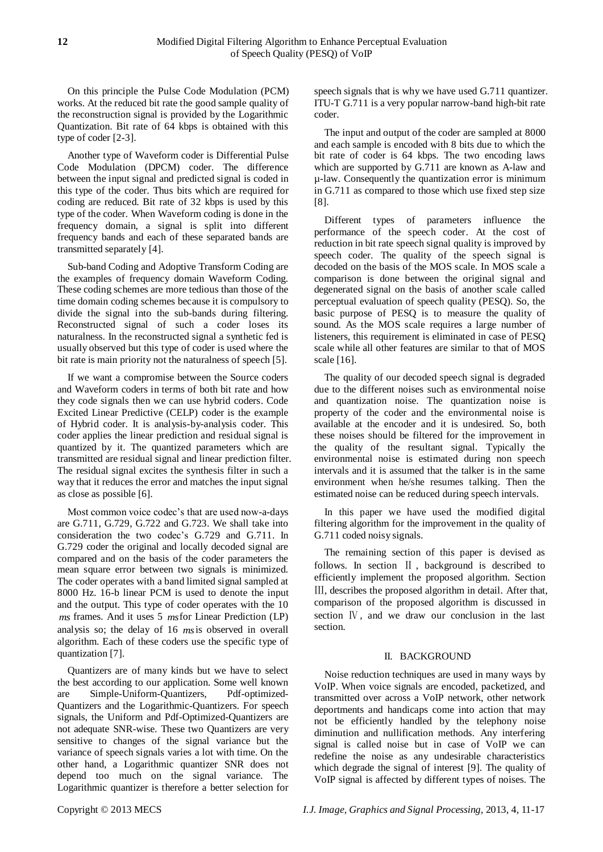On this principle the Pulse Code Modulation (PCM) works. At the reduced bit rate the good sample quality of the reconstruction signal is provided by the Logarithmic Quantization. Bit rate of 64 kbps is obtained with this type of coder [2-3].

Another type of Waveform coder is Differential Pulse Code Modulation (DPCM) coder. The difference between the input signal and predicted signal is coded in this type of the coder. Thus bits which are required for coding are reduced. Bit rate of 32 kbps is used by this type of the coder. When Waveform coding is done in the frequency domain, a signal is split into different frequency bands and each of these separated bands are transmitted separately [4].

Sub-band Coding and Adoptive Transform Coding are the examples of frequency domain Waveform Coding. These coding schemes are more tedious than those of the time domain coding schemes because it is compulsory to divide the signal into the sub-bands during filtering. Reconstructed signal of such a coder loses its naturalness. In the reconstructed signal a synthetic fed is usually observed but this type of coder is used where the bit rate is main priority not the naturalness of speech [5].

If we want a compromise between the Source coders and Waveform coders in terms of both bit rate and how they code signals then we can use hybrid coders. Code Excited Linear Predictive (CELP) coder is the example of Hybrid coder. It is analysis-by-analysis coder. This coder applies the linear prediction and residual signal is quantized by it. The quantized parameters which are transmitted are residual signal and linear prediction filter. The residual signal excites the synthesis filter in such a way that it reduces the error and matches the input signal as close as possible [6].

Most common voice codec's that are used now-a-days are G.711, G.729, G.722 and G.723. We shall take into consideration the two codec's G.729 and G.711. In G.729 coder the original and locally decoded signal are compared and on the basis of the coder parameters the mean square error between two signals is minimized. The coder operates with a band limited signal sampled at 8000 Hz. 16-b linear PCM is used to denote the input and the output. This type of coder operates with the 10 *ms* frames. And it uses 5 *ms* for Linear Prediction (LP) analysis so; the delay of 16 *ms* is observed in overall algorithm. Each of these coders use the specific type of quantization [7].

Quantizers are of many kinds but we have to select the best according to our application. Some well known are Simple-Uniform-Quantizers, Pdf-optimized-Quantizers and the Logarithmic-Quantizers. For speech signals, the Uniform and Pdf-Optimized-Quantizers are not adequate SNR-wise. These two Quantizers are very sensitive to changes of the signal variance but the variance of speech signals varies a lot with time. On the other hand, a Logarithmic quantizer SNR does not depend too much on the signal variance. The Logarithmic quantizer is therefore a better selection for

speech signals that is why we have used G.711 quantizer. ITU-T G.711 is a very popular narrow-band high-bit rate coder.

The input and output of the coder are sampled at 8000 and each sample is encoded with 8 bits due to which the bit rate of coder is 64 kbps. The two encoding laws which are supported by G.711 are known as A-law and µ-law. Consequently the quantization error is minimum in G.711 as compared to those which use fixed step size [8].

Different types of parameters influence the performance of the speech coder. At the cost of reduction in bit rate speech signal quality is improved by speech coder. The quality of the speech signal is decoded on the basis of the MOS scale. In MOS scale a comparison is done between the original signal and degenerated signal on the basis of another scale called perceptual evaluation of speech quality (PESQ). So, the basic purpose of PESQ is to measure the quality of sound. As the MOS scale requires a large number of listeners, this requirement is eliminated in case of PESQ scale while all other features are similar to that of MOS scale [16].

The quality of our decoded speech signal is degraded due to the different noises such as environmental noise and quantization noise. The quantization noise is property of the coder and the environmental noise is available at the encoder and it is undesired. So, both these noises should be filtered for the improvement in the quality of the resultant signal. Typically the environmental noise is estimated during non speech intervals and it is assumed that the talker is in the same environment when he/she resumes talking. Then the estimated noise can be reduced during speech intervals.

In this paper we have used the modified digital filtering algorithm for the improvement in the quality of G.711 coded noisy signals.

The remaining section of this paper is devised as follows. In section Ⅱ , background is described to efficiently implement the proposed algorithm. Section Ⅲ, describes the proposed algorithm in detail. After that, comparison of the proposed algorithm is discussed in section Ⅳ, and we draw our conclusion in the last section.

# II. BACKGROUND

Noise reduction techniques are used in many ways by VoIP. When voice signals are encoded, packetized, and transmitted over across a VoIP network, other network deportments and handicaps come into action that may not be efficiently handled by the telephony noise diminution and nullification methods. Any interfering signal is called noise but in case of VoIP we can redefine the noise as any undesirable characteristics which degrade the signal of interest [9]. The quality of VoIP signal is affected by different types of noises. The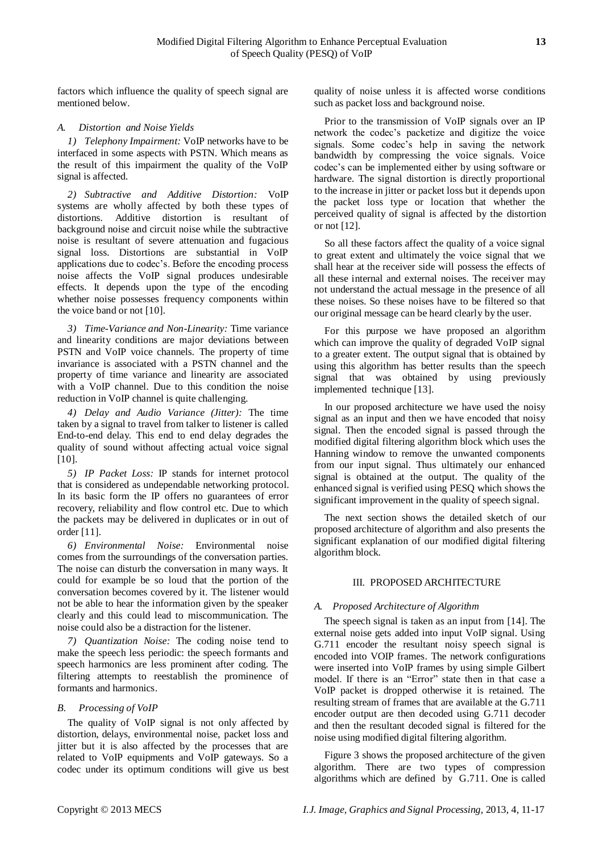factors which influence the quality of speech signal are mentioned below.

# *A. Distortion and Noise Yields*

*1) Telephony Impairment:* VoIP networks have to be interfaced in some aspects with PSTN. Which means as the result of this impairment the quality of the VoIP signal is affected.

*2) Subtractive and Additive Distortion:* VoIP systems are wholly affected by both these types of distortions. Additive distortion is resultant of background noise and circuit noise while the subtractive noise is resultant of severe attenuation and fugacious signal loss. Distortions are substantial in VoIP applications due to codec's. Before the encoding process noise affects the VoIP signal produces undesirable effects. It depends upon the type of the encoding whether noise possesses frequency components within the voice band or not [10].

*3) Time-Variance and Non-Linearity:* Time variance and linearity conditions are major deviations between PSTN and VoIP voice channels. The property of time invariance is associated with a PSTN channel and the property of time variance and linearity are associated with a VoIP channel. Due to this condition the noise reduction in VoIP channel is quite challenging.

*4) Delay and Audio Variance (Jitter):* The time taken by a signal to travel from talker to listener is called End-to-end delay. This end to end delay degrades the quality of sound without affecting actual voice signal  $[10]$ .

*5) IP Packet Loss:* IP stands for internet protocol that is considered as undependable networking protocol. In its basic form the IP offers no guarantees of error recovery, reliability and flow control etc. Due to which the packets may be delivered in duplicates or in out of order [11].

*6) Environmental Noise:* Environmental noise comes from the surroundings of the conversation parties. The noise can disturb the conversation in many ways. It could for example be so loud that the portion of the conversation becomes covered by it. The listener would not be able to hear the information given by the speaker clearly and this could lead to miscommunication. The noise could also be a distraction for the listener.

*7) Quantization Noise:* The coding noise tend to make the speech less periodic: the speech formants and speech harmonics are less prominent after coding. The filtering attempts to reestablish the prominence of formants and harmonics.

# *B. Processing of VoIP*

The quality of VoIP signal is not only affected by distortion, delays, environmental noise, packet loss and jitter but it is also affected by the processes that are related to VoIP equipments and VoIP gateways. So a codec under its optimum conditions will give us best quality of noise unless it is affected worse conditions such as packet loss and background noise.

Prior to the transmission of VoIP signals over an IP network the codec's packetize and digitize the voice signals. Some codec's help in saving the network bandwidth by compressing the voice signals. Voice codec's can be implemented either by using software or hardware. The signal distortion is directly proportional to the increase in jitter or packet loss but it depends upon the packet loss type or location that whether the perceived quality of signal is affected by the distortion or not [12].

So all these factors affect the quality of a voice signal to great extent and ultimately the voice signal that we shall hear at the receiver side will possess the effects of all these internal and external noises. The receiver may not understand the actual message in the presence of all these noises. So these noises have to be filtered so that our original message can be heard clearly by the user.

For this purpose we have proposed an algorithm which can improve the quality of degraded VoIP signal to a greater extent. The output signal that is obtained by using this algorithm has better results than the speech signal that was obtained by using previously implemented technique [13].

In our proposed architecture we have used the noisy signal as an input and then we have encoded that noisy signal. Then the encoded signal is passed through the modified digital filtering algorithm block which uses the Hanning window to remove the unwanted components from our input signal. Thus ultimately our enhanced signal is obtained at the output. The quality of the enhanced signal is verified using PESQ which shows the significant improvement in the quality of speech signal.

The next section shows the detailed sketch of our proposed architecture of algorithm and also presents the significant explanation of our modified digital filtering algorithm block.

### III. PROPOSED ARCHITECTURE

### *A. Proposed Architecture of Algorithm*

The speech signal is taken as an input from [14]. The external noise gets added into input VoIP signal. Using G.711 encoder the resultant noisy speech signal is encoded into VOIP frames. The network configurations were inserted into VoIP frames by using simple Gilbert model. If there is an "Error" state then in that case a VoIP packet is dropped otherwise it is retained. The resulting stream of frames that are available at the G.711 encoder output are then decoded using G.711 decoder and then the resultant decoded signal is filtered for the noise using modified digital filtering algorithm.

Figure 3 shows the proposed architecture of the given algorithm. There are two types of compression algorithms which are defined by G.711. One is called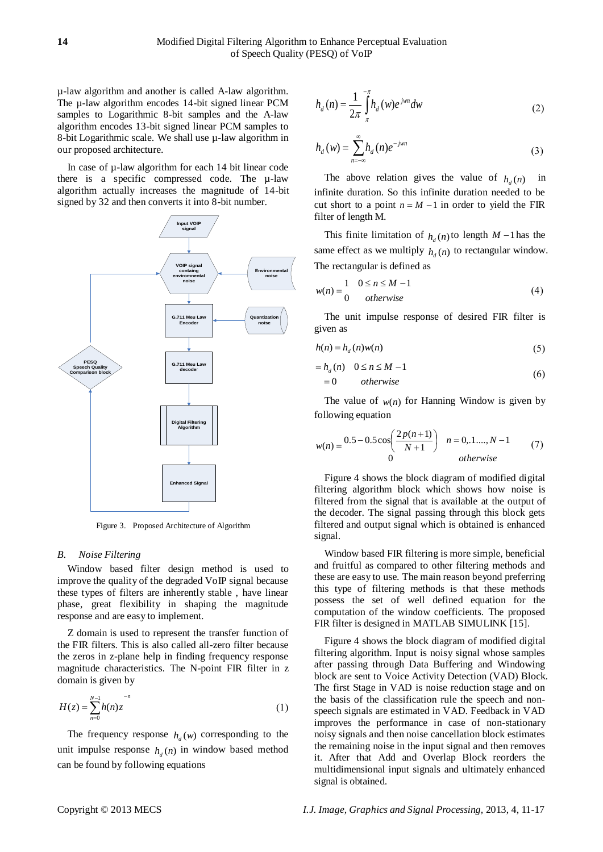µ-law algorithm and another is called A-law algorithm. The  $\mu$ -law algorithm encodes 14-bit signed linear PCM samples to Logarithmic 8-bit samples and the A-law algorithm encodes 13-bit signed linear PCM samples to 8-bit Logarithmic scale. We shall use µ-law algorithm in our proposed architecture.

In case of  $\mu$ -law algorithm for each 14 bit linear code there is a specific compressed code. The µ-law algorithm actually increases the magnitude of 14-bit signed by 32 and then converts it into 8-bit number.



Figure 3. Proposed Architecture of Algorithm

## *B. Noise Filtering*

Window based filter design method is used to improve the quality of the degraded VoIP signal because these types of filters are inherently stable , have linear phase, great flexibility in shaping the magnitude response and are easy to implement.

Z domain is used to represent the transfer function of the FIR filters. This is also called all-zero filter because the zeros in z-plane help in finding frequency response magnitude characteristics. The N-point FIR filter in z domain is given by

$$
H(z) = \sum_{n=0}^{N-1} h(n) z^{n}
$$
 (1)

The frequency response  $h_d(w)$  corresponding to the unit impulse response  $h_d(n)$  in window based method can be found by following equations

$$
h_d(n) = \frac{1}{2\pi} \int_{\pi}^{-\pi} h_d(w) e^{jwn} dw
$$
 (2)

$$
h_d(w) = \sum_{n=-\infty}^{\infty} h_d(n) e^{-jwn}
$$
 (3)

The above relation gives the value of  $h_d(n)$ in infinite duration. So this infinite duration needed to be cut short to a point  $n = M - 1$  in order to yield the FIR filter of length M.

This finite limitation of  $h_d(n)$  to length  $M-1$  has the same effect as we multiply  $h_d(n)$  to rectangular window. The rectangular is defined as

$$
w(n) = \begin{cases} 1 & 0 \le n \le M - 1 \\ 0 & otherwise \end{cases}
$$
 (4)

The unit impulse response of desired FIR filter is given as

$$
h(n) = h_d(n)w(n)
$$
\n(5)

$$
= h_d(n) \quad 0 \le n \le M - 1 \tag{6}
$$

$$
= 0
$$
 otherwise

The value of  $w(n)$  for Hanning Window is given by following equation

$$
w(n) = \frac{0.5 - 0.5\cos\left(\frac{2p(n+1)}{N+1}\right)}{0} \quad n = 0, 1, \dots, N-1 \tag{7}
$$

Figure 4 shows the block diagram of modified digital filtering algorithm block which shows how noise is filtered from the signal that is available at the output of the decoder. The signal passing through this block gets filtered and output signal which is obtained is enhanced signal.

Window based FIR filtering is more simple, beneficial and fruitful as compared to other filtering methods and these are easy to use. The main reason beyond preferring this type of filtering methods is that these methods possess the set of well defined equation for the computation of the window coefficients. The proposed FIR filter is designed in MATLAB SIMULINK [15].

Figure 4 shows the block diagram of modified digital filtering algorithm. Input is noisy signal whose samples after passing through Data Buffering and Windowing block are sent to Voice Activity Detection (VAD) Block. The first Stage in VAD is noise reduction stage and on the basis of the classification rule the speech and nonspeech signals are estimated in VAD. Feedback in VAD improves the performance in case of non-stationary noisy signals and then noise cancellation block estimates the remaining noise in the input signal and then removes it. After that Add and Overlap Block reorders the multidimensional input signals and ultimately enhanced signal is obtained.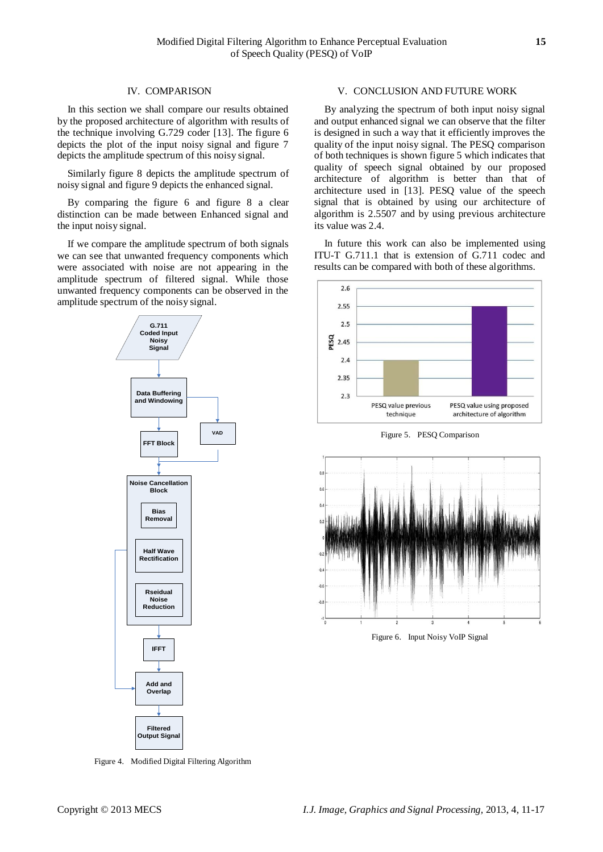#### IV. COMPARISON

In this section we shall compare our results obtained by the proposed architecture of algorithm with results of the technique involving G.729 coder [13]. The figure 6 depicts the plot of the input noisy signal and figure 7 depicts the amplitude spectrum of this noisy signal.

Similarly figure 8 depicts the amplitude spectrum of noisy signal and figure 9 depicts the enhanced signal.

By comparing the figure 6 and figure 8 a clear distinction can be made between Enhanced signal and the input noisy signal.

If we compare the amplitude spectrum of both signals we can see that unwanted frequency components which were associated with noise are not appearing in the amplitude spectrum of filtered signal. While those unwanted frequency components can be observed in the amplitude spectrum of the noisy signal.



Figure 4. Modified Digital Filtering Algorithm

#### V. CONCLUSION AND FUTURE WORK

By analyzing the spectrum of both input noisy signal and output enhanced signal we can observe that the filter is designed in such a way that it efficiently improves the quality of the input noisy signal. The PESQ comparison of both techniques is shown figure 5 which indicates that quality of speech signal obtained by our proposed architecture of algorithm is better than that of architecture used in [13]. PESQ value of the speech signal that is obtained by using our architecture of algorithm is 2.5507 and by using previous architecture its value was 2.4.

In future this work can also be implemented using ITU-T G.711.1 that is extension of G.711 codec and results can be compared with both of these algorithms.



Figure 5. PESQ Comparison



Figure 6. Input Noisy VoIP Signal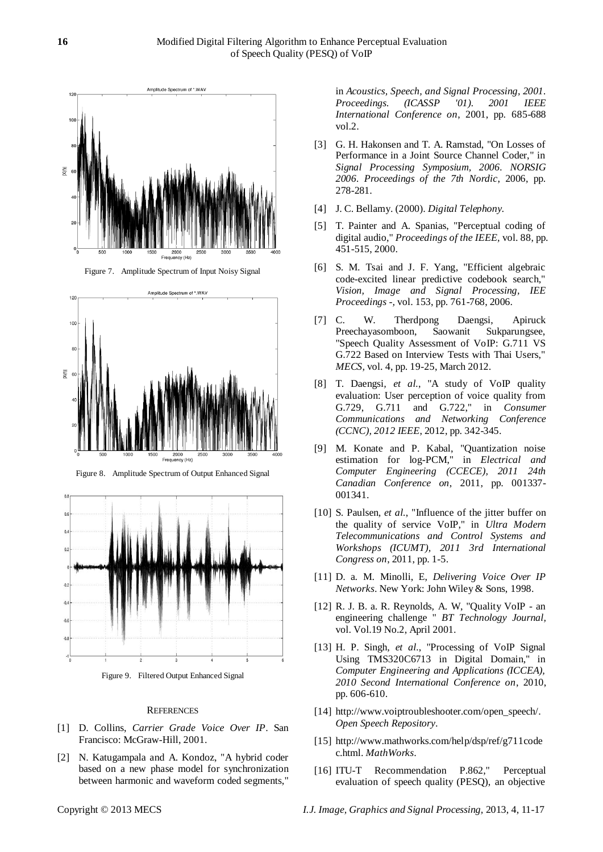

Figure 7. Amplitude Spectrum of Input Noisy Signal



Figure 8. Amplitude Spectrum of Output Enhanced Signal



Figure 9. Filtered Output Enhanced Signal

#### **REFERENCES**

- [1] D. Collins, *Carrier Grade Voice Over IP*. San Francisco: McGraw-Hill, 2001.
- [2] N. Katugampala and A. Kondoz, "A hybrid coder based on a new phase model for synchronization between harmonic and waveform coded segments,"

in *Acoustics, Speech, and Signal Processing, 2001. Proceedings. (ICASSP '01). 2001 IEEE International Conference on*, 2001, pp. 685-688 vol.2.

- [3] G. H. Hakonsen and T. A. Ramstad, "On Losses of Performance in a Joint Source Channel Coder," in *Signal Processing Symposium, 2006. NORSIG 2006. Proceedings of the 7th Nordic*, 2006, pp. 278-281.
- [4] J. C. Bellamy. (2000). *Digital Telephony.*
- [5] T. Painter and A. Spanias, "Perceptual coding of digital audio," *Proceedings of the IEEE,* vol. 88, pp. 451-515, 2000.
- [6] S. M. Tsai and J. F. Yang, "Efficient algebraic code-excited linear predictive codebook search," *Vision, Image and Signal Processing, IEE Proceedings -,* vol. 153, pp. 761-768, 2006.
- [7] C. W. Therdpong Daengsi, Apiruck Preechayasomboon, Saowanit Sukparungsee, "Speech Quality Assessment of VoIP: G.711 VS G.722 Based on Interview Tests with Thai Users," *MECS,* vol. 4, pp. 19-25, March 2012.
- [8] T. Daengsi*, et al.*, "A study of VoIP quality evaluation: User perception of voice quality from G.729, G.711 and G.722," in *Consumer Communications and Networking Conference (CCNC), 2012 IEEE*, 2012, pp. 342-345.
- [9] M. Konate and P. Kabal, "Quantization noise estimation for log-PCM," in *Electrical and Computer Engineering (CCECE), 2011 24th Canadian Conference on*, 2011, pp. 001337- 001341.
- [10] S. Paulsen, et al., "Influence of the jitter buffer on the quality of service VoIP," in *Ultra Modern Telecommunications and Control Systems and Workshops (ICUMT), 2011 3rd International Congress on*, 2011, pp. 1-5.
- [11] D. a. M. Minolli, E, *Delivering Voice Over IP Networks*. New York: John Wiley & Sons, 1998.
- [12] R. J. B. a. R. Reynolds, A. W, "Quality VoIP an engineering challenge " *BT Technology Journal,*  vol. Vol.19 No.2, April 2001.
- [13] H. P. Singh*, et al.*, "Processing of VoIP Signal Using TMS320C6713 in Digital Domain," in *Computer Engineering and Applications (ICCEA), 2010 Second International Conference on*, 2010, pp. 606-610.
- [14] http://www.voiptroubleshooter.com/open\_speech/. *Open Speech Repository*.
- [15] http://www.mathworks.com/help/dsp/ref/g711code c.html. *MathWorks*.
- [16] ITU-T Recommendation P.862," Perceptual evaluation of speech quality (PESQ), an objective